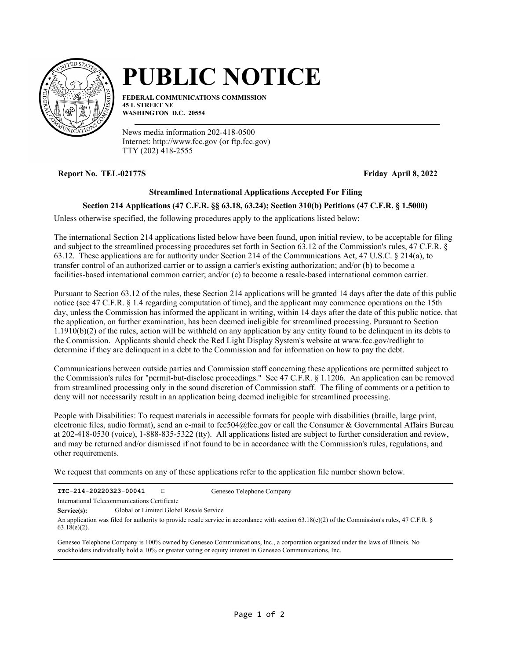

## **PUBLIC NOTICE**

**FEDERAL COMMUNICATIONS COMMISSION 45 L STREET NE WASHINGTON D.C. 20554**

News media information 202-418-0500 Internet: http://www.fcc.gov (or ftp.fcc.gov) TTY (202) 418-2555

**Report No. TEL-02177S Friday April 8, 2022**

## **Streamlined International Applications Accepted For Filing**

## **Section 214 Applications (47 C.F.R. §§ 63.18, 63.24); Section 310(b) Petitions (47 C.F.R. § 1.5000)**

Unless otherwise specified, the following procedures apply to the applications listed below:

The international Section 214 applications listed below have been found, upon initial review, to be acceptable for filing and subject to the streamlined processing procedures set forth in Section 63.12 of the Commission's rules, 47 C.F.R. § 63.12. These applications are for authority under Section 214 of the Communications Act, 47 U.S.C. § 214(a), to transfer control of an authorized carrier or to assign a carrier's existing authorization; and/or (b) to become a facilities-based international common carrier; and/or (c) to become a resale-based international common carrier.

Pursuant to Section 63.12 of the rules, these Section 214 applications will be granted 14 days after the date of this public notice (see 47 C.F.R. § 1.4 regarding computation of time), and the applicant may commence operations on the 15th day, unless the Commission has informed the applicant in writing, within 14 days after the date of this public notice, that the application, on further examination, has been deemed ineligible for streamlined processing. Pursuant to Section 1.1910(b)(2) of the rules, action will be withheld on any application by any entity found to be delinquent in its debts to the Commission. Applicants should check the Red Light Display System's website at www.fcc.gov/redlight to determine if they are delinquent in a debt to the Commission and for information on how to pay the debt.

Communications between outside parties and Commission staff concerning these applications are permitted subject to the Commission's rules for "permit-but-disclose proceedings." See 47 C.F.R. § 1.1206. An application can be removed from streamlined processing only in the sound discretion of Commission staff. The filing of comments or a petition to deny will not necessarily result in an application being deemed ineligible for streamlined processing.

People with Disabilities: To request materials in accessible formats for people with disabilities (braille, large print, electronic files, audio format), send an e-mail to fcc504@fcc.gov or call the Consumer & Governmental Affairs Bureau at 202-418-0530 (voice), 1-888-835-5322 (tty). All applications listed are subject to further consideration and review, and may be returned and/or dismissed if not found to be in accordance with the Commission's rules, regulations, and other requirements.

We request that comments on any of these applications refer to the application file number shown below.

|--|

Geneseo Telephone Company

International Telecommunications Certificate

**Service(s):** Global or Limited Global Resale Service

An application was filed for authority to provide resale service in accordance with section 63.18(e)(2) of the Commission's rules, 47 C.F.R. § 63.18(e)(2).

Geneseo Telephone Company is 100% owned by Geneseo Communications, Inc., a corporation organized under the laws of Illinois. No stockholders individually hold a 10% or greater voting or equity interest in Geneseo Communications, Inc.